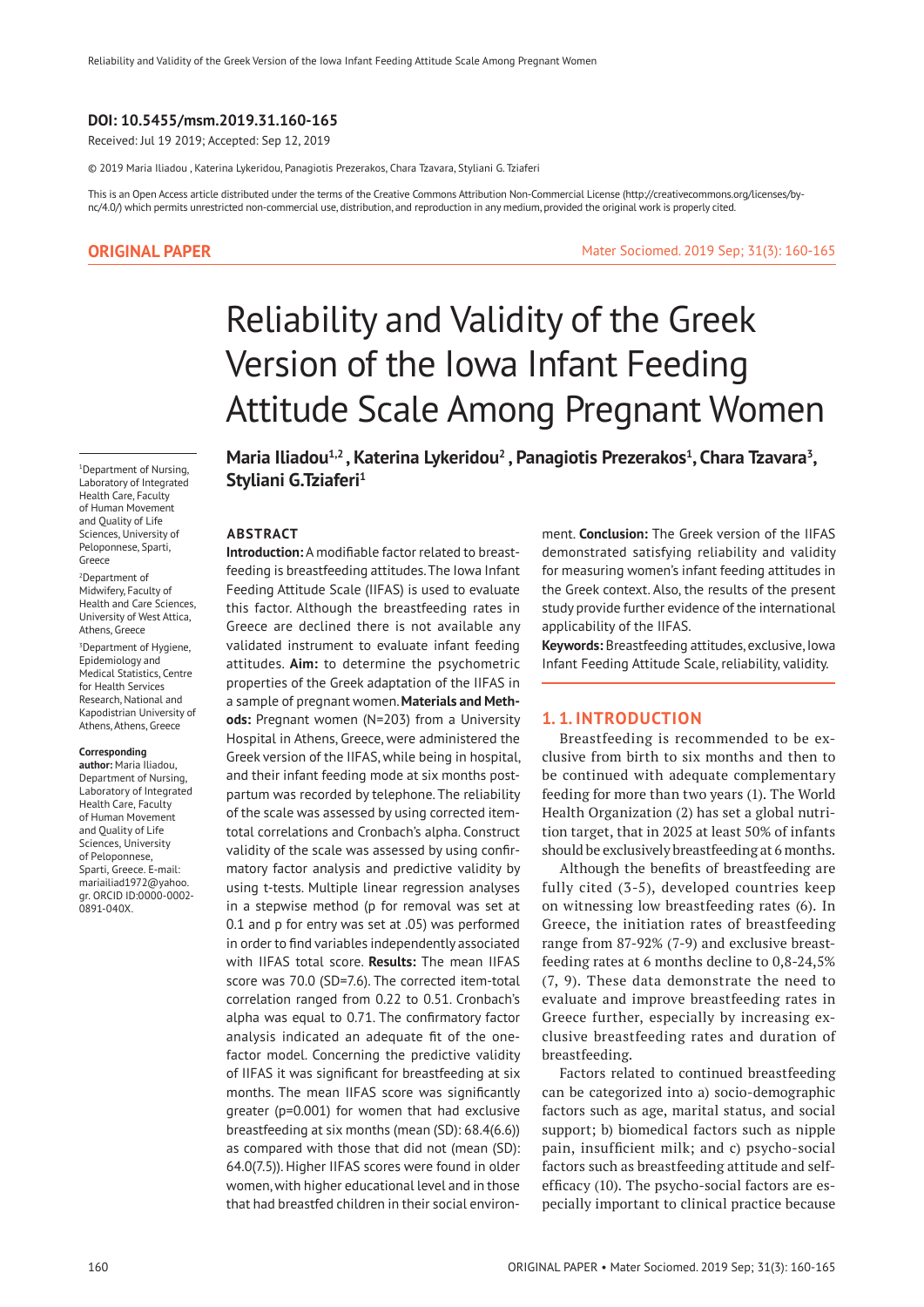## **DOI: 10.5455/msm.2019.31.160-165**

Received: Jul 19 2019; Accepted: Sep 12, 2019

© 2019 Maria Iliadou , Katerina Lykeridou, Panagiotis Prezerakos, Chara Tzavara, Styliani G. Tziaferi

This is an Open Access article distributed under the terms of the Creative Commons Attribution Non-Commercial License (http://creativecommons.org/licenses/bync/4.0/) which permits unrestricted non-commercial use, distribution, and reproduction in any medium, provided the original work is properly cited.

## **ORIGINAL PAPER**

Mater Sociomed. 2019 Sep; 31(3): 160-165

# Reliability and Validity of the Greek Version of the Iowa Infant Feeding Attitude Scale Among Pregnant Women

1 Department of Nursing, Laboratory of Integrated Health Care, Faculty of Human Movement and Quality of Life Sciences, University of Peloponnese, Sparti, Greece

2 Department of Midwifery, Faculty of Health and Care Sciences, University of West Attica, Athens, Greece

<sup>3</sup>Department of Hygiene, Epidemiology and Medical Statistics, Centre for Health Services Research, National and Kapodistrian University of Athens, Athens, Greece

## **Corresponding**

**author:** Maria Iliadou, Department of Nursing, Laboratory of Integrated Health Care, Faculty of Human Movement and Quality of Life Sciences, University of Peloponnese, Sparti, Greece. E-mail: mariailiad1972@yahoo. gr. ORCID ID:0000-0002- 0891-040X.

Maria Iliadou<sup>1,2</sup>, Katerina Lykeridou<sup>2</sup>, Panagiotis Prezerakos<sup>1</sup>, Chara Tzavara<sup>3</sup>, Styliani G.Tziaferi<sup>1</sup>

#### **ABSTRACT**

**Introduction:** A modifiable factor related to breastfeeding is breastfeeding attitudes. The Iowa Infant Feeding Attitude Scale (IIFAS) is used to evaluate this factor. Although the breastfeeding rates in Greece are declined there is not available any validated instrument to evaluate infant feeding attitudes. **Aim:** to determine the psychometric properties of the Greek adaptation of the IIFAS in a sample of pregnant women. **Materials and Methods:** Pregnant women (N=203) from a University Hospital in Athens, Greece, were administered the Greek version of the IIFAS, while being in hospital, and their infant feeding mode at six months postpartum was recorded by telephone. The reliability of the scale was assessed by using corrected itemtotal correlations and Cronbach's alpha. Construct validity of the scale was assessed by using confirmatory factor analysis and predictive validity by using t-tests. Multiple linear regression analyses in a stepwise method (p for removal was set at 0.1 and p for entry was set at .05) was performed in order to find variables independently associated with IIFAS total score. **Results:** The mean IIFAS score was 70.0 (SD=7.6). The corrected item-total correlation ranged from 0.22 to 0.51. Cronbach's alpha was equal to 0.71. The confirmatory factor analysis indicated an adequate fit of the onefactor model. Concerning the predictive validity of IIFAS it was significant for breastfeeding at six months. The mean IIFAS score was significantly greater (p=0.001) for women that had exclusive breastfeeding at six months (mean (SD): 68.4(6.6)) as compared with those that did not (mean (SD): 64.0(7.5)). Higher IIFAS scores were found in older women, with higher educational level and in those that had breastfed children in their social environment. **Conclusion:** The Greek version of the IIFAS demonstrated satisfying reliability and validity for measuring women's infant feeding attitudes in the Greek context. Also, the results of the present study provide further evidence of the international applicability of the IIFAS.

**Keywords:** Breastfeeding attitudes, exclusive, Iowa Infant Feeding Attitude Scale, reliability, validity.

## **1. 1. INTRODUCTION**

Breastfeeding is recommended to be exclusive from birth to six months and then to be continued with adequate complementary feeding for more than two years (1). The World Health Organization (2) has set a global nutrition target, that in 2025 at least 50% of infants should be exclusively breastfeeding at 6 months.

Although the benefits of breastfeeding are fully cited (3-5), developed countries keep on witnessing low breastfeeding rates (6). In Greece, the initiation rates of breastfeeding range from 87-92% (7-9) and exclusive breastfeeding rates at 6 months decline to 0,8-24,5% (7, 9). These data demonstrate the need to evaluate and improve breastfeeding rates in Greece further, especially by increasing exclusive breastfeeding rates and duration of breastfeeding.

Factors related to continued breastfeeding can be categorized into a) socio-demographic factors such as age, marital status, and social support; b) biomedical factors such as nipple pain, insufficient milk; and c) psycho-social factors such as breastfeeding attitude and selfefficacy (10). The psycho-social factors are especially important to clinical practice because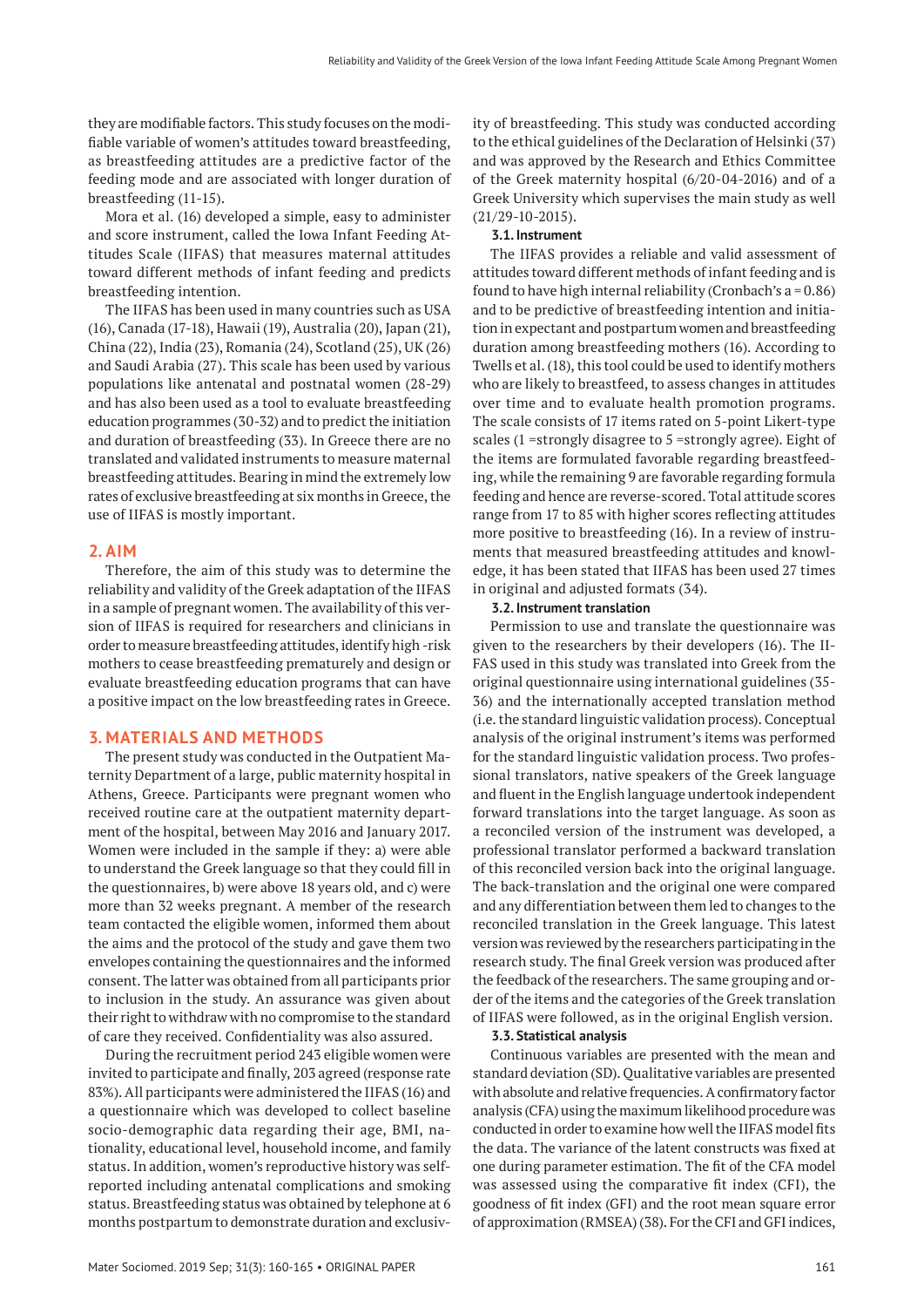they are modifiable factors. This study focuses on the modifiable variable of women's attitudes toward breastfeeding, as breastfeeding attitudes are a predictive factor of the feeding mode and are associated with longer duration of breastfeeding (11-15).

Mora et al. (16) developed a simple, easy to administer and score instrument, called the Iowa Infant Feeding Attitudes Scale (IIFAS) that measures maternal attitudes toward different methods of infant feeding and predicts breastfeeding intention.

The IIFAS has been used in many countries such as USA (16), Canada (17-18), Hawaii (19), Australia (20), Japan (21), China (22), India (23), Romania (24), Scotland (25), UK (26) and Saudi Arabia (27). This scale has been used by various populations like antenatal and postnatal women (28-29) and has also been used as a tool to evaluate breastfeeding education programmes (30-32) and to predict the initiation and duration of breastfeeding (33). In Greece there are no translated and validated instruments to measure maternal breastfeeding attitudes. Bearing in mind the extremely low rates of exclusive breastfeeding at six months in Greece, the use of IIFAS is mostly important.

#### **2. AIM**

Therefore, the aim of this study was to determine the reliability and validity of the Greek adaptation of the IIFAS in a sample of pregnant women. The availability of this version of IIFAS is required for researchers and clinicians in order to measure breastfeeding attitudes, identify high -risk mothers to cease breastfeeding prematurely and design or evaluate breastfeeding education programs that can have a positive impact on the low breastfeeding rates in Greece.

## **3. MATERIALS AND METHODS**

The present study was conducted in the Outpatient Maternity Department of a large, public maternity hospital in Athens, Greece. Participants were pregnant women who received routine care at the outpatient maternity department of the hospital, between May 2016 and January 2017. Women were included in the sample if they: a) were able to understand the Greek language so that they could fill in the questionnaires, b) were above 18 years old, and c) were more than 32 weeks pregnant. A member of the research team contacted the eligible women, informed them about the aims and the protocol of the study and gave them two envelopes containing the questionnaires and the informed consent. The latter was obtained from all participants prior to inclusion in the study. An assurance was given about their right to withdraw with no compromise to the standard of care they received. Confidentiality was also assured.

During the recruitment period 243 eligible women were invited to participate and finally, 203 agreed (response rate 83%). All participants were administered the IIFAS (16) and a questionnaire which was developed to collect baseline socio-demographic data regarding their age, BMI, nationality, educational level, household income, and family status. In addition, women's reproductive history was selfreported including antenatal complications and smoking status. Breastfeeding status was obtained by telephone at 6 months postpartum to demonstrate duration and exclusivity of breastfeeding. This study was conducted according to the ethical guidelines of the Declaration of Helsinki (37) and was approved by the Research and Ethics Committee of the Greek maternity hospital (6/20-04-2016) and of a Greek University which supervises the main study as well (21/29-10-2015).

## **3.1. Instrument**

The IIFAS provides a reliable and valid assessment of attitudes toward different methods of infant feeding and is found to have high internal reliability (Cronbach's  $a = 0.86$ ) and to be predictive of breastfeeding intention and initiation in expectant and postpartum women and breastfeeding duration among breastfeeding mothers (16). According to Twells et al. (18), this tool could be used to identify mothers who are likely to breastfeed, to assess changes in attitudes over time and to evaluate health promotion programs. The scale consists of 17 items rated on 5-point Likert-type scales (1 =strongly disagree to 5 =strongly agree). Eight of the items are formulated favorable regarding breastfeeding, while the remaining 9 are favorable regarding formula feeding and hence are reverse-scored. Total attitude scores range from 17 to 85 with higher scores reflecting attitudes more positive to breastfeeding (16). In a review of instruments that measured breastfeeding attitudes and knowledge, it has been stated that IIFAS has been used 27 times in original and adjusted formats (34).

#### **3.2. Instrument translation**

Permission to use and translate the questionnaire was given to the researchers by their developers (16). The II-FAS used in this study was translated into Greek from the original questionnaire using international guidelines (35- 36) and the internationally accepted translation method (i.e. the standard linguistic validation process). Conceptual analysis of the original instrument's items was performed for the standard linguistic validation process. Two professional translators, native speakers of the Greek language and fluent in the English language undertook independent forward translations into the target language. As soon as a reconciled version of the instrument was developed, a professional translator performed a backward translation of this reconciled version back into the original language. The back-translation and the original one were compared and any differentiation between them led to changes to the reconciled translation in the Greek language. This latest version was reviewed by the researchers participating in the research study. The final Greek version was produced after the feedback of the researchers. The same grouping and order of the items and the categories of the Greek translation of IIFAS were followed, as in the original English version.

#### **3.3. Statistical analysis**

Continuous variables are presented with the mean and standard deviation (SD). Qualitative variables are presented with absolute and relative frequencies. A confirmatory factor analysis (CFA) using the maximum likelihood procedure was conducted in order to examine how well the IIFAS model fits the data. The variance of the latent constructs was fixed at one during parameter estimation. The fit of the CFA model was assessed using the comparative fit index (CFI), the goodness of fit index (GFI) and the root mean square error of approximation (RMSEA) (38). For the CFI and GFI indices,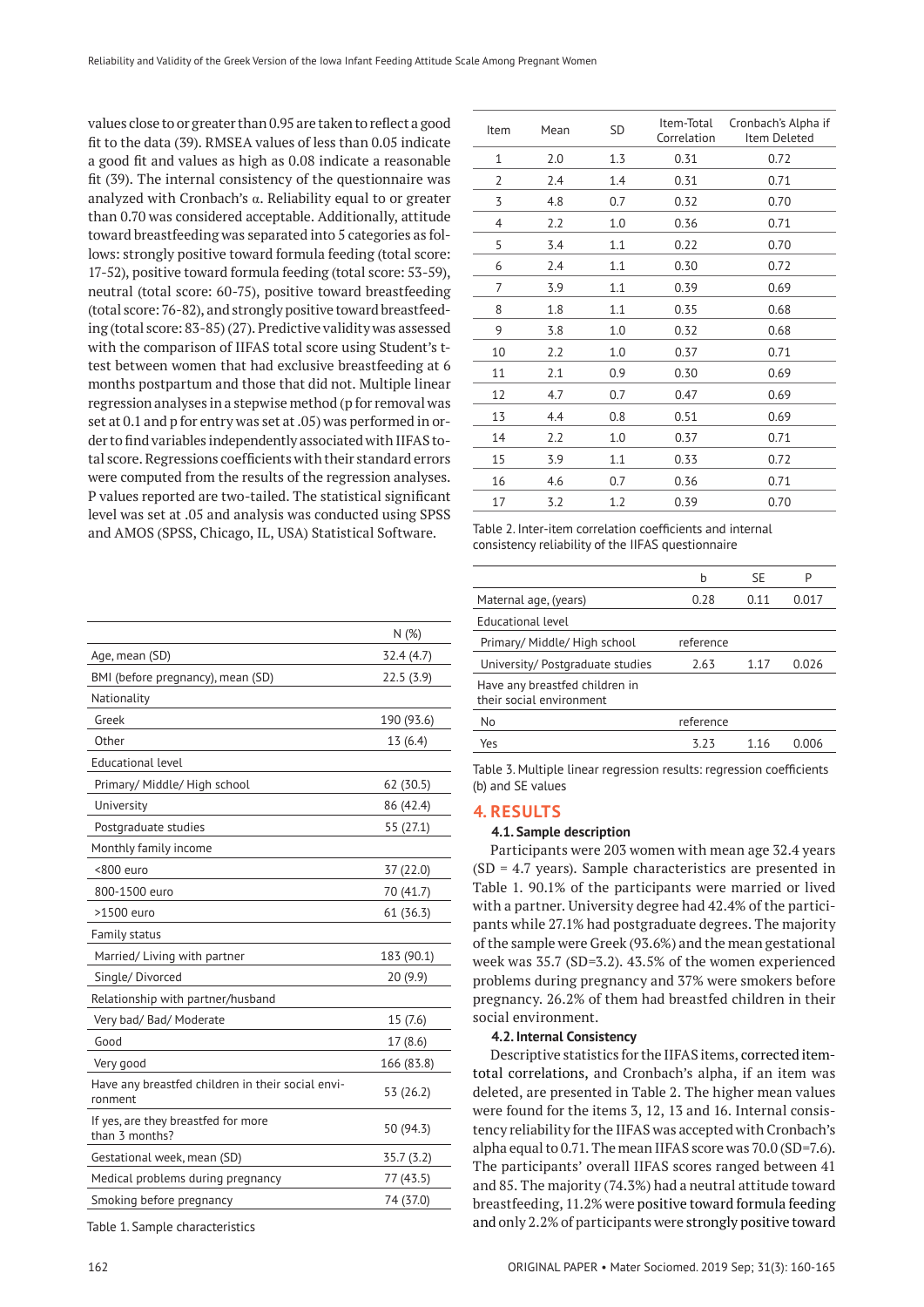values close to or greater than 0.95 are taken to reflect a good fit to the data (39). RMSEA values of less than 0.05 indicate a good fit and values as high as 0.08 indicate a reasonable fit (39). The internal consistency of the questionnaire was analyzed with Cronbach's α. Reliability equal to or greater than 0.70 was considered acceptable. Additionally, attitude toward breastfeeding was separated into 5 categories as follows: strongly positive toward formula feeding (total score: 17-52), positive toward formula feeding (total score: 53-59), neutral (total score: 60-75), positive toward breastfeeding (total score: 76-82), and strongly positive toward breastfeeding (total score: 83-85) (27). Predictive validity was assessed with the comparison of IIFAS total score using Student's ttest between women that had exclusive breastfeeding at 6 months postpartum and those that did not. Multiple linear regression analyses in a stepwise method (p for removal was set at 0.1 and p for entry was set at .05) was performed in order to find variables independently associated with IIFAS total score. Regressions coefficients with their standard errors were computed from the results of the regression analyses. P values reported are two-tailed. The statistical significant level was set at .05 and analysis was conducted using SPSS and AMOS (SPSS, Chicago, IL, USA) Statistical Software.

|                                                              | N(%)       |
|--------------------------------------------------------------|------------|
| Age, mean (SD)                                               | 32.4 (4.7) |
| BMI (before pregnancy), mean (SD)                            | 22.5(3.9)  |
| Nationality                                                  |            |
| Greek                                                        | 190 (93.6) |
| Other                                                        | 13 (6.4)   |
| Educational level                                            |            |
| Primary/ Middle/ High school                                 | 62 (30.5)  |
| University                                                   | 86 (42.4)  |
| Postgraduate studies                                         | 55 (27.1)  |
| Monthly family income                                        |            |
| <800 euro                                                    | 37 (22.0)  |
| 800-1500 euro                                                | 70 (41.7)  |
| >1500 euro                                                   | 61 (36.3)  |
| Family status                                                |            |
| Married/Living with partner                                  | 183 (90.1) |
| Single/Divorced                                              | 20(9.9)    |
| Relationship with partner/husband                            |            |
| Very bad/ Bad/ Moderate                                      | 15 (7.6)   |
| Good                                                         | 17(8.6)    |
| Very good                                                    | 166 (83.8) |
| Have any breastfed children in their social envi-<br>ronment | 53 (26.2)  |
| If yes, are they breastfed for more<br>than 3 months?        | 50 (94.3)  |
| Gestational week, mean (SD)                                  | 35.7(3.2)  |
| Medical problems during pregnancy                            | 77 (43.5)  |
| Smoking before pregnancy                                     | 74 (37.0)  |
|                                                              |            |

Table 1. Sample characteristics

| Item         | Mean | SD  | Item-Total<br>Correlation | Cronbach's Alpha if<br>Item Deleted |
|--------------|------|-----|---------------------------|-------------------------------------|
| $\mathbf{1}$ | 2.0  | 1.3 | 0.31                      | 0.72                                |
| 2            | 2.4  | 1.4 | 0.31                      | 0.71                                |
| 3            | 4.8  | 0.7 | 0.32                      | 0.70                                |
| 4            | 2.2  | 1.0 | 0.36                      | 0.71                                |
| 5            | 3.4  | 1.1 | 0.22                      | 0.70                                |
| 6            | 2.4  | 1.1 | 0.30                      | 0.72                                |
| 7            | 3.9  | 1.1 | 0.39                      | 0.69                                |
| 8            | 1.8  | 1.1 | 0.35                      | 0.68                                |
| 9            | 3.8  | 1.0 | 0.32                      | 0.68                                |
| 10           | 2.2  | 1.0 | 0.37                      | 0.71                                |
| 11           | 2.1  | 0.9 | 0.30                      | 0.69                                |
| 12           | 4.7  | 0.7 | 0.47                      | 0.69                                |
| 13           | 4.4  | 0.8 | 0.51                      | 0.69                                |
| 14           | 2.2  | 1.0 | 0.37                      | 0.71                                |
| 15           | 3.9  | 1.1 | 0.33                      | 0.72                                |
| 16           | 4.6  | 0.7 | 0.36                      | 0.71                                |
| 17           | 3.2  | 1.2 | 0.39                      | 0.70                                |
|              |      |     |                           |                                     |

Table 2. Inter-item correlation coefficients and internal consistency reliability of the IIFAS questionnaire

|                                                            | h          | SE    | P     |
|------------------------------------------------------------|------------|-------|-------|
| Maternal age, (years)                                      | 0.28       | 0.11  | 0.017 |
| <b>Educational level</b>                                   |            |       |       |
| Primary/ Middle/ High school                               | reference  |       |       |
| University/Postgraduate studies                            | 2.63       | 1 1 7 | 0.026 |
| Have any breastfed children in<br>their social environment |            |       |       |
| $\sim$                                                     | $\epsilon$ |       |       |

| No  | reference |      |  |
|-----|-----------|------|--|
| Yes |           | 1.16 |  |
|     |           |      |  |

Table 3. Multiple linear regression results: regression coefficients (b) and SE values

## **4. RESULTS**

#### **4.1. Sample description**

Participants were 203 women with mean age 32.4 years (SD = 4.7 years). Sample characteristics are presented in Table 1. 90.1% of the participants were married or lived with a partner. University degree had 42.4% of the participants while 27.1% had postgraduate degrees. The majority of the sample were Greek (93.6%) and the mean gestational week was 35.7 (SD=3.2). 43.5% of the women experienced problems during pregnancy and 37% were smokers before pregnancy. 26.2% of them had breastfed children in their social environment.

#### **4.2. Internal Consistency**

Descriptive statistics for the IIFAS items, corrected itemtotal correlations, and Cronbach's alpha, if an item was deleted, are presented in Table 2. The higher mean values were found for the items 3, 12, 13 and 16. Internal consistency reliability for the IIFAS was accepted with Cronbach's alpha equal to 0.71. The mean IIFAS score was 70.0 (SD=7.6). The participants' overall IIFAS scores ranged between 41 and 85. The majority (74.3%) had a neutral attitude toward breastfeeding, 11.2% were positive toward formula feeding and only 2.2% of participants were strongly positive toward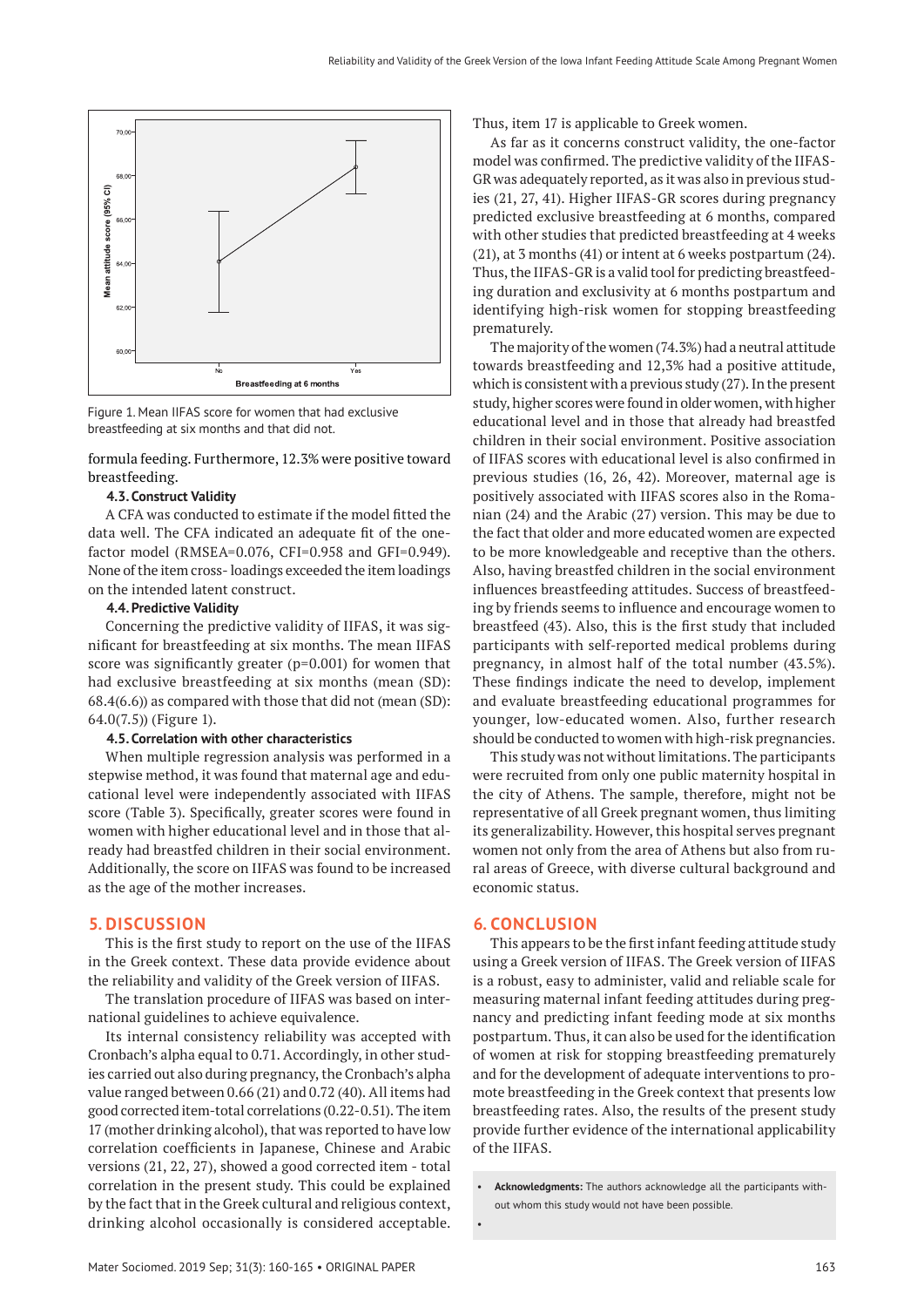

breastfeeding at six months and that did not. Figure 1. Mean IIFAS score for women that had exclusive

formula feeding. Furthermore, 12.3% were positive toward breastfeeding.

## **4.3. Construct Validity**

A CFA was conducted to estimate if the model fitted the data well. The CFA indicated an adequate fit of the onefactor model (RMSEA=0.076, CFI=0.958 and GFI=0.949). None of the item cross- loadings exceeded the item loadings on the intended latent construct.

#### **4.4. Predictive Validity**

Concerning the predictive validity of IIFAS, it was significant for breastfeeding at six months. The mean IIFAS score was significantly greater (p=0.001) for women that had exclusive breastfeeding at six months (mean (SD): 68.4(6.6)) as compared with those that did not (mean (SD): 64.0(7.5)) (Figure 1).

## **4.5. Correlation with other characteristics**

When multiple regression analysis was performed in a stepwise method, it was found that maternal age and educational level were independently associated with IIFAS score (Table 3). Specifically, greater scores were found in women with higher educational level and in those that already had breastfed children in their social environment. Additionally, the score on IIFAS was found to be increased as the age of the mother increases.

# **5. DISCUSSION**

This is the first study to report on the use of the IIFAS in the Greek context. These data provide evidence about the reliability and validity of the Greek version of IIFAS.

The translation procedure of IIFAS was based on international guidelines to achieve equivalence.

Its internal consistency reliability was accepted with Cronbach's alpha equal to 0.71. Accordingly, in other studies carried out also during pregnancy, the Cronbach's alpha value ranged between 0.66 (21) and 0.72 (40). All items had good corrected item-total correlations (0.22-0.51). The item 17 (mother drinking alcohol), that was reported to have low correlation coefficients in Japanese, Chinese and Arabic versions (21, 22, 27), showed a good corrected item - total correlation in the present study. This could be explained by the fact that in the Greek cultural and religious context, drinking alcohol occasionally is considered acceptable. Thus, item 17 is applicable to Greek women.

As far as it concerns construct validity, the one-factor model was confirmed. The predictive validity of the IIFAS-GR was adequately reported, as it was also in previous studies (21, 27, 41). Higher IIFAS-GR scores during pregnancy predicted exclusive breastfeeding at 6 months, compared with other studies that predicted breastfeeding at 4 weeks (21), at 3 months (41) or intent at 6 weeks postpartum (24). Thus, the IIFAS-GR is a valid tool for predicting breastfeeding duration and exclusivity at 6 months postpartum and identifying high-risk women for stopping breastfeeding prematurely.

The majority of the women (74.3%) had a neutral attitude towards breastfeeding and 12,3% had a positive attitude, which is consistent with a previous study (27). In the present study, higher scores were found in older women, with higher educational level and in those that already had breastfed children in their social environment. Positive association of IIFAS scores with educational level is also confirmed in previous studies (16, 26, 42). Moreover, maternal age is positively associated with IIFAS scores also in the Romanian (24) and the Arabic (27) version. This may be due to the fact that older and more educated women are expected to be more knowledgeable and receptive than the others. Also, having breastfed children in the social environment influences breastfeeding attitudes. Success of breastfeeding by friends seems to influence and encourage women to breastfeed (43). Also, this is the first study that included participants with self-reported medical problems during pregnancy, in almost half of the total number (43.5%). These findings indicate the need to develop, implement and evaluate breastfeeding educational programmes for younger, low-educated women. Also, further research should be conducted to women with high-risk pregnancies.

This study was not without limitations. The participants were recruited from only one public maternity hospital in the city of Athens. The sample, therefore, might not be representative of all Greek pregnant women, thus limiting its generalizability. However, this hospital serves pregnant women not only from the area of Athens but also from rural areas of Greece, with diverse cultural background and economic status.

# **6. CONCLUSION**

This appears to be the first infant feeding attitude study using a Greek version of IIFAS. The Greek version of IIFAS is a robust, easy to administer, valid and reliable scale for measuring maternal infant feeding attitudes during pregnancy and predicting infant feeding mode at six months postpartum. Thus, it can also be used for the identification of women at risk for stopping breastfeeding prematurely and for the development of adequate interventions to promote breastfeeding in the Greek context that presents low breastfeeding rates. Also, the results of the present study provide further evidence of the international applicability of the IIFAS.

• **Acknowledgments:** The authors acknowledge all the participants without whom this study would not have been possible.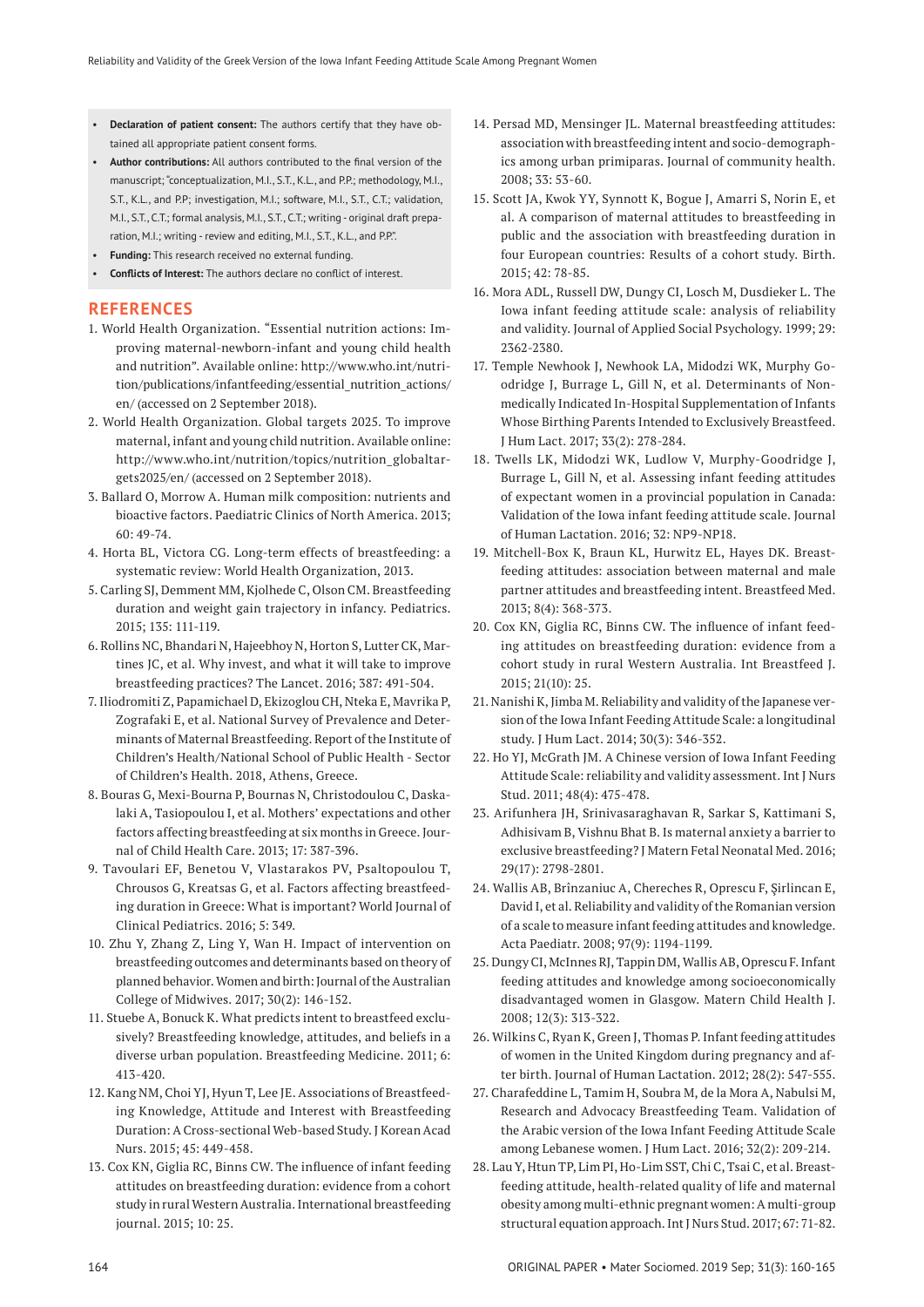- **Declaration of patient consent:** The authors certify that they have obtained all appropriate patient consent forms.
- **Author contributions:** All authors contributed to the final version of the manuscript; "conceptualization, M.I., S.T., K.L., and P.P.; methodology, M.I., S.T., K.L., and P.P; investigation, M.I.; software, M.I., S.T., C.T.; validation, M.I., S.T., C.T.; formal analysis, M.I., S.T., C.T.; writing - original draft preparation, M.I.; writing - review and editing, M.I., S.T., K.L., and P.P.".
- **Funding:** This research received no external funding.
- **Conflicts of Interest:** The authors declare no conflict of interest.

# **REFERENCES**

- 1. World Health Organization. "Essential nutrition actions: Improving maternal-newborn-infant and young child health and nutrition". Available online: http://www.who.int/nutrition/publications/infantfeeding/essential\_nutrition\_actions/ en/ (accessed on 2 September 2018).
- 2. World Health Organization. Global targets 2025. To improve maternal, infant and young child nutrition. Available online: http://www.who.int/nutrition/topics/nutrition\_globaltargets2025/en/ (accessed on 2 September 2018).
- 3. Ballard O, Morrow A. Human milk composition: nutrients and bioactive factors. Paediatric Clinics of North America. 2013; 60: 49-74.
- 4. Horta BL, Victora CG. Long-term effects of breastfeeding: a systematic review: World Health Organization, 2013.
- 5. Carling SJ, Demment MM, Kjolhede C, Olson CM. Breastfeeding duration and weight gain trajectory in infancy. Pediatrics. 2015; 135: 111-119.
- 6. Rollins NC, Bhandari N, Hajeebhoy N, Horton S, Lutter CK, Martines JC, et al. Why invest, and what it will take to improve breastfeeding practices? The Lancet. 2016; 387: 491-504.
- 7. Iliodromiti Z, Papamichael D, Ekizoglou CH, Nteka E, Mavrika P, Zografaki E, et al. National Survey of Prevalence and Determinants of Maternal Breastfeeding. Report of the Institute of Children's Health/National School of Public Health - Sector of Children's Health. 2018, Athens, Greece.
- 8. Bouras G, Mexi-Bourna P, Bournas N, Christodoulou C, Daskalaki A, Tasiopoulou I, et al. Mothers' expectations and other factors affecting breastfeeding at six months in Greece. Journal of Child Health Care. 2013; 17: 387-396.
- 9. Tavoulari EF, Benetou V, Vlastarakos PV, Psaltopoulou T, Chrousos G, Kreatsas G, et al. Factors affecting breastfeeding duration in Greece: What is important? World Journal of Clinical Pediatrics. 2016; 5: 349.
- 10. Zhu Y, Zhang Z, Ling Y, Wan H. Impact of intervention on breastfeeding outcomes and determinants based on theory of planned behavior. Women and birth: Journal of the Australian College of Midwives. 2017; 30(2): 146-152.
- 11. Stuebe A, Bonuck K. What predicts intent to breastfeed exclusively? Breastfeeding knowledge, attitudes, and beliefs in a diverse urban population. Breastfeeding Medicine. 2011; 6: 413-420.
- 12. Kang NM, Choi YJ, Hyun T, Lee JE. Associations of Breastfeeding Knowledge, Attitude and Interest with Breastfeeding Duration: A Cross-sectional Web-based Study. J Korean Acad Nurs. 2015; 45: 449-458.
- 13. Cox KN, Giglia RC, Binns CW. The influence of infant feeding attitudes on breastfeeding duration: evidence from a cohort study in rural Western Australia. International breastfeeding journal. 2015; 10: 25.
- 14. Persad MD, Mensinger JL. Maternal breastfeeding attitudes: association with breastfeeding intent and socio-demographics among urban primiparas. Journal of community health. 2008; 33: 53-60.
- 15. Scott JA, Kwok YY, Synnott K, Bogue J, Amarri S, Norin E, et al. A comparison of maternal attitudes to breastfeeding in public and the association with breastfeeding duration in four European countries: Results of a cohort study. Birth. 2015; 42: 78-85.
- 16. Mora ADL, Russell DW, Dungy CI, Losch M, Dusdieker L. The Iowa infant feeding attitude scale: analysis of reliability and validity. Journal of Applied Social Psychology. 1999; 29: 2362-2380.
- 17. Temple Newhook J, Newhook LA, Midodzi WK, Murphy Goodridge J, Burrage L, Gill N, et al. Determinants of Nonmedically Indicated In-Hospital Supplementation of Infants Whose Birthing Parents Intended to Exclusively Breastfeed. J Hum Lact. 2017; 33(2): 278-284.
- 18. Twells LK, Midodzi WK, Ludlow V, Murphy-Goodridge J, Burrage L, Gill N, et al. Assessing infant feeding attitudes of expectant women in a provincial population in Canada: Validation of the Iowa infant feeding attitude scale. Journal of Human Lactation. 2016; 32: NP9-NP18.
- 19. Mitchell-Box K, Braun KL, Hurwitz EL, Hayes DK. Breastfeeding attitudes: association between maternal and male partner attitudes and breastfeeding intent. Breastfeed Med. 2013; 8(4): 368-373.
- 20. Cox KN, Giglia RC, Binns CW. The influence of infant feeding attitudes on breastfeeding duration: evidence from a cohort study in rural Western Australia. Int Breastfeed J. 2015; 21(10): 25.
- 21. Nanishi K, Jimba M. Reliability and validity of the Japanese version of the Iowa Infant Feeding Attitude Scale: a longitudinal study. J Hum Lact. 2014; 30(3): 346-352.
- 22. Ho YJ, McGrath JM. A Chinese version of Iowa Infant Feeding Attitude Scale: reliability and validity assessment. Int J Nurs Stud. 2011; 48(4): 475-478.
- 23. Arifunhera JH, Srinivasaraghavan R, Sarkar S, Kattimani S, Adhisivam B, Vishnu Bhat B. Is maternal anxiety a barrier to exclusive breastfeeding? J Matern Fetal Neonatal Med. 2016; 29(17): 2798-2801.
- 24. Wallis AB, Brînzaniuc A, Chereches R, Oprescu F, Şirlincan E, David I, et al. Reliability and validity of the Romanian version of a scale to measure infant feeding attitudes and knowledge. Acta Paediatr. 2008; 97(9): 1194-1199.
- 25. Dungy CI, McInnes RJ, Tappin DM, Wallis AB, Oprescu F. Infant feeding attitudes and knowledge among socioeconomically disadvantaged women in Glasgow. Matern Child Health J. 2008; 12(3): 313-322.
- 26. Wilkins C, Ryan K, Green J, Thomas P. Infant feeding attitudes of women in the United Kingdom during pregnancy and after birth. Journal of Human Lactation. 2012; 28(2): 547-555.
- 27. Charafeddine L, Tamim H, Soubra M, de la Mora A, Nabulsi M, Research and Advocacy Breastfeeding Team. Validation of the Arabic version of the Iowa Infant Feeding Attitude Scale among Lebanese women. J Hum Lact. 2016; 32(2): 209-214.
- 28. Lau Y, Htun TP, Lim PI, Ho-Lim SST, Chi C, Tsai C, et al. Breastfeeding attitude, health-related quality of life and maternal obesity among multi-ethnic pregnant women: A multi-group structural equation approach. Int J Nurs Stud. 2017; 67: 71-82.